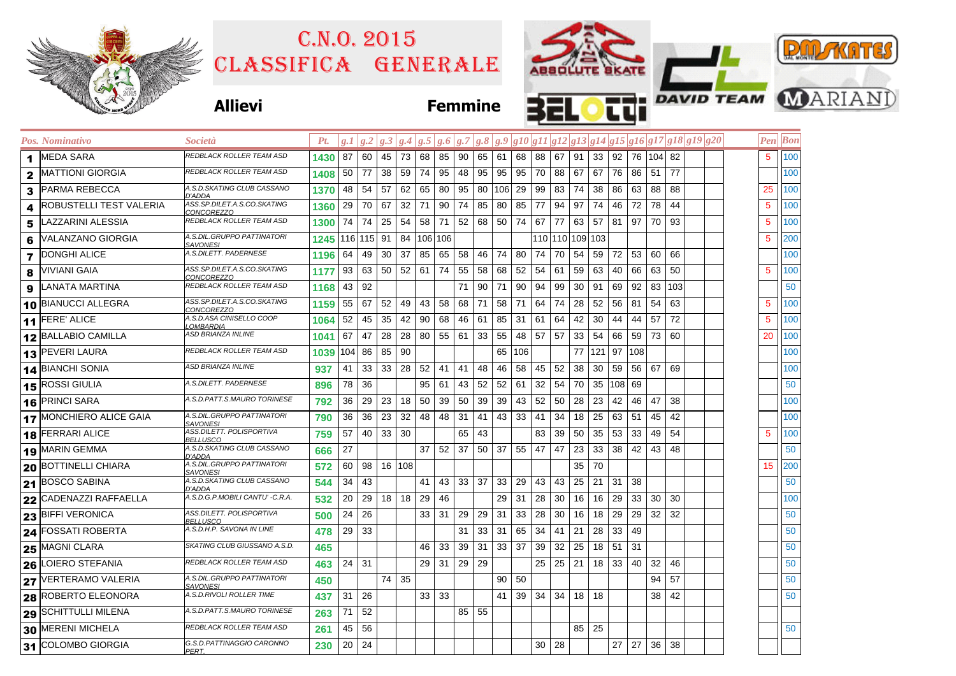|                      |                                |                                                  | C.N.0.2015<br>CLASSIFICA GENERALE |              |                                                                                   |         |    |                |          |                 |          | ABSOLUTE SKATE         |    |                                                 |              |                              |          |              |              |              |  |  |  | <b>PAIL KATES</b> |                |                                      |  |  |
|----------------------|--------------------------------|--------------------------------------------------|-----------------------------------|--------------|-----------------------------------------------------------------------------------|---------|----|----------------|----------|-----------------|----------|------------------------|----|-------------------------------------------------|--------------|------------------------------|----------|--------------|--------------|--------------|--|--|--|-------------------|----------------|--------------------------------------|--|--|
|                      |                                | <b>Allievi</b>                                   |                                   |              |                                                                                   |         |    | <b>Femmine</b> |          |                 |          |                        |    |                                                 |              |                              |          |              |              |              |  |  |  |                   |                | <b>TTI</b> DAVID TEAM <b>WARIAND</b> |  |  |
|                      | Pos. Nominativo                | <i>Società</i>                                   | Pt.                               |              | $g.1 g.2 g.3 g.4 g.5 g.6 g.7 g.8 g.9 g10 g11 g12 g13 g14 g15 g16 g17 g18 g19 g20$ |         |    |                |          |                 |          |                        |    |                                                 |              |                              |          |              |              |              |  |  |  |                   | <b>Pen</b> Bon |                                      |  |  |
| $\blacktriangleleft$ | <b>MEDA SARA</b>               | REDBLACK ROLLER TEAM ASD                         | 1430                              | 87           | 60<br>45                                                                          | 73      | 68 | 85             |          | 90   65   61    |          | 68 88                  |    | 67                                              | 91           | 33   92   76   104   82      |          |              |              |              |  |  |  | 5                 | 100            |                                      |  |  |
| $\mathbf{2}$         | <b>MATTIONI GIORGIA</b>        | REDBLACK ROLLER TEAM ASD                         | 1408                              | 50           | 77<br>38                                                                          | 59      | 74 | 95             |          | 48 95           | 95       | 95 70                  |    | 88                                              | 67           | 67                           |          | 76 86        | 51 77        |              |  |  |  |                   | 100            |                                      |  |  |
| 3                    | <b>PARMA REBECCA</b>           | A.S.D.SKATING CLUB CASSANO<br>D'ADDA             | 1370                              |              | 48 54 57                                                                          | 62      | 65 | 80             |          |                 |          | 95 80 106 29 99        |    | 83                                              | 74 38        |                              | 86       | 63           | 88 88        |              |  |  |  | 25                | 100            |                                      |  |  |
| 4                    | <b>ROBUSTELLI TEST VALERIA</b> | 4SS.SP.DILET.A.S.CO.SKATING<br><u>CONCOREZZO</u> | 1360                              | 29           | 70 67                                                                             | 32      | 71 | 90             |          | 74 85           | 80       | 85 77                  |    | 94                                              | 97           | 74                           | 46       | 72           | 78 44        |              |  |  |  | 5                 | 100            |                                      |  |  |
| 5                    | LAZZARINI ALESSIA              | REDBLACK ROLLER TEAM ASD                         | 1300                              | 74           | 74<br>25                                                                          | 54      | 58 | 71             |          |                 |          | 52   68   50   74   67 |    | 77                                              |              | 63 57                        |          | 81 97        |              | 70 93        |  |  |  | 5                 | 100            |                                      |  |  |
| 6                    | VALANZANO GIORGIA              | 4.S.DIL.GRUPPO PATTINATORI<br><b>SAVONESI</b>    | 1245                              |              | 116 115 91                                                                        |         |    | 84 106 106     |          |                 |          |                        |    | 110 110 109 103                                 |              |                              |          |              |              |              |  |  |  | 5                 | 200            |                                      |  |  |
| $\overline{7}$       | <b>DONGHI ALICE</b>            | 4.S.DILETT. PADERNESE                            | 1196                              | 64           | 49 30                                                                             | 37      | 85 | 65             |          |                 | 58 46 74 | 80 74                  |    | 70                                              |              | 54 59                        |          | 72 53        |              | 60 66        |  |  |  |                   | 100            |                                      |  |  |
| 8                    | VIVIANI GAIA                   | ASS.SP.DILET.A.S.CO.SKATING<br><u>CONCOREZZO</u> | 1177                              | 93           | 63 50 52 61                                                                       |         |    | 74             |          | 55 58           |          | 68 52 54               |    | 61                                              |              | 59 63                        |          | 40 66        | 63 50        |              |  |  |  | 5                 | 100            |                                      |  |  |
|                      | LANATA MARTINA                 | REDBLACK ROLLER TEAM ASD                         | 1168                              | 43           | 92                                                                                |         |    |                | 71       | 90              | 71       | 90 94                  |    | 99                                              |              | 30   91                      |          | 69 92        |              | 83 103       |  |  |  |                   | 50             |                                      |  |  |
|                      | 10 BIANUCCI ALLEGRA            | 4SS.SP.DILET.A.S.CO.SKATING<br>CONCOREZZO        | 1159                              | 55           | 67<br>52                                                                          | 49      | 43 | 58             | 68       | 71              | 58       | 71                     | 64 | 74                                              | 28           | 52                           | 56 81    |              |              | 54 63        |  |  |  | 5                 | 100            |                                      |  |  |
|                      | 11 FERE' ALICE                 | 4.S.D.ASA CINISELLO COOP<br>.OMBARDIA            | 1064                              | 52           | 45<br>35                                                                          | 42      | 90 | 68             | 46 61    |                 | 85       | $31 \quad 61$          |    | 64                                              |              | 42 30                        |          | 44 44        | 57           | 72           |  |  |  | 5                 | 100            |                                      |  |  |
|                      | 12 BALLABIO CAMILLA            | ASD BRIANZA INLINE                               | 1041                              | 67           | 47<br>28                                                                          | 28      | 80 |                | 55 61 33 |                 | 55       | 48 57                  |    | 57                                              | $33 \mid 54$ |                              |          | 66 59        |              | 73 60        |  |  |  | 20                | 100            |                                      |  |  |
|                      | 13 PEVERI LAURA                | REDBLACK ROLLER TEAM ASD                         | 1039                              |              | 104 86 85                                                                         | 90      |    |                |          |                 |          | 65   106               |    |                                                 |              | 77 121 97 108                |          |              |              |              |  |  |  |                   | 100            |                                      |  |  |
|                      | 14 BIANCHI SONIA               | ASD BRIANZA INLINE                               | 937                               | 41           | $33 \mid 33 \mid 28$                                                              |         | 52 | 41             | 41       | 48              | 46       | 58                     | 45 | 52                                              |              | $38 \mid 30$                 | 59       | 56 67        |              | 69           |  |  |  |                   | 100            |                                      |  |  |
|                      | 15 ROSSI GIULIA                | 4.S.DILETT. PADERNESE                            | 896                               | 78           | 36                                                                                |         | 95 | 61             | 43       | 52              | 52       | 61                     | 32 | 54                                              | 70           | 35                           | $108$ 69 |              |              |              |  |  |  |                   | 50             |                                      |  |  |
|                      | 16 PRINCI SARA                 | 4.S.D.PATT.S.MAURO TORINESE                      | 792                               | 36           | 29<br>23                                                                          | 18      | 50 | 39             | 50       | 39              | 39       | 43                     | 52 | 50                                              |              | 28 23                        | 42       | 46           | 47           | 38           |  |  |  |                   | 100            |                                      |  |  |
|                      | 17 MONCHIERO ALICE GAIA        | 4.S.DIL.GRUPPO PATTINATORI<br><u>SAVONESI</u>    | 790                               | 36           | 36<br>23                                                                          | 32      | 48 | 48             | 31       | 41              | 43       | $ 33\rangle$           | 41 | 34                                              |              | $18$ 25                      | 63 51    |              | 45           | 42           |  |  |  |                   | 100            |                                      |  |  |
|                      | 18 FERRARI ALICE               | ASS.DILETT. POLISPORTIVA<br><u>BELLUSCO</u>      | 759                               | 57           | 40 33 30                                                                          |         |    |                | 65       | 43              |          |                        | 83 | 39                                              |              | 50 35                        | 53       | 33           |              | 49 54        |  |  |  | 5                 | 100            |                                      |  |  |
|                      | 19 MARIN GEMMA                 | 4.S.D.SKATING CLUB CASSANO<br>D'ADDA             | 666                               | 27           |                                                                                   |         | 37 | 52             | 37       | 50 <sub>1</sub> | 37       | 55 47                  |    | 47                                              |              | $23 \mid 33 \mid$            |          | 38 42        |              | 43 48        |  |  |  |                   | 50             |                                      |  |  |
|                      | 20 BOTTINELLI CHIARA           | 4.S.DIL.GRUPPO PATTINATORI<br>SAVONESI           | 572                               | 60           | 98 16 108                                                                         |         |    |                |          |                 |          |                        |    |                                                 | 35           | 70                           |          |              |              |              |  |  |  | 15                | 200            |                                      |  |  |
|                      | 21 BOSCO SABINA                | A.S.D.SKATING CLUB CASSANO<br>D'ADDA             | 544                               | 34           | 43                                                                                |         | 41 |                | 43 33 37 |                 |          | 33   29   43           |    | 43                                              |              | $25 \mid 21 \mid 31 \mid 38$ |          |              |              |              |  |  |  |                   | 50             |                                      |  |  |
|                      | 22 CADENAZZI RAFFAELLA         | A.S.D.G.P.MOBILI CANTU' -C.R.A.                  | 532                               | 20           | 29                                                                                | 18   18 | 29 | 46             |          |                 |          | $29 \mid 31 \mid 28$   |    | 30 <sup>1</sup>                                 |              | 16 16                        |          | $29 \mid 33$ |              | $30 \mid 30$ |  |  |  |                   | 100            |                                      |  |  |
|                      | 23 BIFFI VERONICA              | ASS.DILETT. POLISPORTIVA<br><u>BELLUSCO</u>      | 500                               | $24 \mid 26$ |                                                                                   |         | 33 | 31             |          |                 |          | 29 29 31 33 28         |    | 30                                              |              | 16   18   29   29            |          |              | $32 \mid 32$ |              |  |  |  |                   | 50             |                                      |  |  |
|                      | 24 FOSSATI ROBERTA             | A.S.D.H.P. SAVONA IN LINE                        | 478                               | $29 \mid 33$ |                                                                                   |         |    |                |          |                 |          |                        |    | 31   33   31   65   34   41   21   28   33   49 |              |                              |          |              |              |              |  |  |  |                   | 50             |                                      |  |  |
|                      | $25$ MAGNI CLARA               | SKATING CLUB GIUSSANO A.S.D.                     | 465                               |              |                                                                                   |         |    |                |          |                 |          |                        |    | 46 33 39 31 33 37 39 32 25 18 51 31             |              |                              |          |              |              |              |  |  |  |                   | 50             |                                      |  |  |
|                      | 26 LOIERO STEFANIA             | REDBLACK ROLLER TEAM ASD                         | 463                               | $24$ 31      |                                                                                   |         |    | 29 31 29 29    |          |                 |          |                        |    | 25   25   21   18   33   40   32   46           |              |                              |          |              |              |              |  |  |  |                   | 50             |                                      |  |  |
|                      | 27 VERTERAMO VALERIA           | 4.S.DIL.GRUPPO PATTINATORI<br><b>SAVONESI</b>    | 450                               |              |                                                                                   | 74 35   |    |                |          |                 |          | 90 50                  |    |                                                 |              |                              |          |              |              | 94 57        |  |  |  |                   | 50             |                                      |  |  |
|                      | 28 ROBERTO ELEONORA            | 4.S.D.RIVOLI ROLLER TIME                         | 437                               | 31           | 26                                                                                |         |    | 33 33          |          |                 | 41       |                        |    | $39 \mid 34 \mid 34$                            | 18   18      |                              |          |              |              | 38 42        |  |  |  |                   | 50             |                                      |  |  |
|                      | 29 SCHITTULLI MILENA           | 4.S.D.PATT.S.MAURO TORINESE                      | 263                               | 71           | 52                                                                                |         |    |                | 85 55    |                 |          |                        |    |                                                 |              |                              |          |              |              |              |  |  |  |                   |                |                                      |  |  |
|                      | 30 MERENI MICHELA              | REDBLACK ROLLER TEAM ASD                         | 261                               | 45 56        |                                                                                   |         |    |                |          |                 |          |                        |    |                                                 |              | 85 25                        |          |              |              |              |  |  |  |                   | 50             |                                      |  |  |
|                      | 31 COLOMBO GIORGIA             | G.S.D.PATTINAGGIO CARONNO<br>PERT.               | 230                               | $20 \mid 24$ |                                                                                   |         |    |                |          |                 |          |                        |    | $30 \mid 28$                                    |              |                              |          | 27 27 36 38  |              |              |  |  |  |                   |                |                                      |  |  |